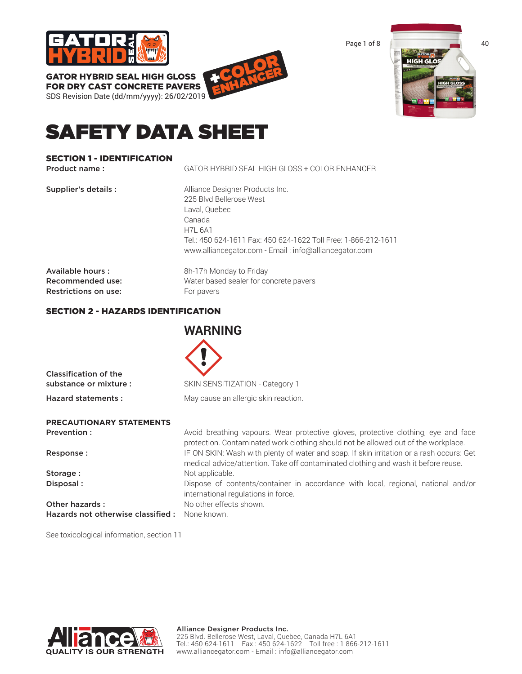

FOR DRY CAST CONCRETE PAVERS SDS Revision Date (dd/mm/yyyy): 26/02/2019 +COLOR ENHANCER Page 1 of 8 40 HIGH G

# SAFETY DATA SHEET

## SECTION 1 - IDENTIFICATION

Product name : GATOR HYBRID SEAL HIGH GLOSS + COLOR ENHANCER

| Supplier's details :                            | Alliance Designer Products Inc.<br>225 Blvd Bellerose West<br>Laval, Quebec<br>Canada<br><b>H7L 6A1</b><br>Tel.: 450 624-1611 Fax: 450 624-1622 Toll Free: 1-866-212-1611<br>www.alliancegator.com - Email: info@alliancegator.com |
|-------------------------------------------------|------------------------------------------------------------------------------------------------------------------------------------------------------------------------------------------------------------------------------------|
| Available hours:                                | 8h-17h Monday to Friday                                                                                                                                                                                                            |
| Recommended use:<br><b>Restrictions on use:</b> | Water based sealer for concrete pavers<br>For pavers                                                                                                                                                                               |

# SECTION 2 - HAZARDS IDENTIFICATION

|                                    | <b>WARNING</b>                                                                                                                                                                 |
|------------------------------------|--------------------------------------------------------------------------------------------------------------------------------------------------------------------------------|
|                                    |                                                                                                                                                                                |
| <b>Classification of the</b>       |                                                                                                                                                                                |
| substance or mixture :             | SKIN SENSITIZATION - Category 1                                                                                                                                                |
| Hazard statements:                 | May cause an allergic skin reaction.                                                                                                                                           |
| <b>PRECAUTIONARY STATEMENTS</b>    |                                                                                                                                                                                |
| Prevention :                       | Avoid breathing vapours. Wear protective gloves, protective clothing, eye and face<br>protection. Contaminated work clothing should not be allowed out of the workplace.       |
| Response:                          | IF ON SKIN: Wash with plenty of water and soap. If skin irritation or a rash occurs: Get<br>medical advice/attention. Take off contaminated clothing and wash it before reuse. |
| Storage:                           | Not applicable.                                                                                                                                                                |
| Disposal:                          | Dispose of contents/container in accordance with local, regional, national and/or<br>international regulations in force.                                                       |
| Other hazards:                     | No other effects shown.                                                                                                                                                        |
| Hazards not otherwise classified : | None known.                                                                                                                                                                    |

See toxicological information, section 11

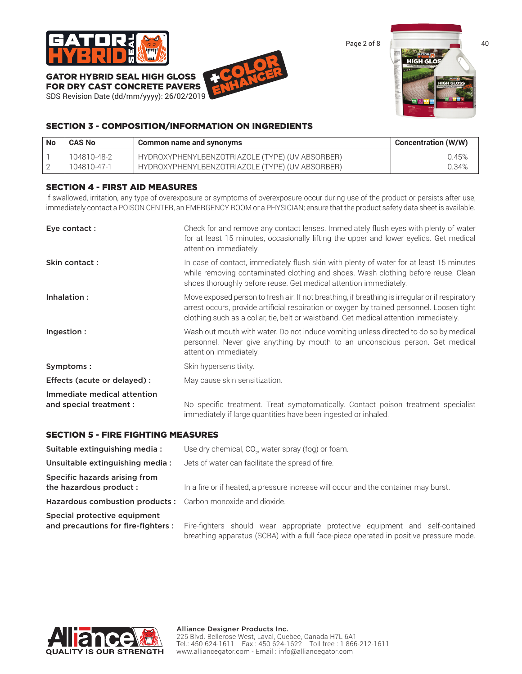

GATOR HYBRID SEAL HIGH GLOSS FOR DRY CAST CONCRETE PAVERS

SDS Revision Date (dd/mm/yyyy): 26/02/2019





# SECTION 3 - COMPOSITION/INFORMATION ON INGREDIENTS

| <b>No</b> | <b>CAS No</b> | Common name and synonyms                        | <b>Concentration (W/W)</b> |
|-----------|---------------|-------------------------------------------------|----------------------------|
|           | 104810-48-2   | HYDROXYPHENYLBENZOTRIAZOLE (TYPE) (UV ABSORBER) | 0.45%                      |
|           | 104810-47-1   | HYDROXYPHENYLBENZOTRIAZOLE (TYPE) (UV ABSORBER) | 0.34%                      |

# SECTION 4 - FIRST AID MEASURES

If swallowed, irritation, any type of overexposure or symptoms of overexposure occur during use of the product or persists after use, immediately contact a POISON CENTER, an EMERGENCY ROOM or a PHYSICIAN; ensure that the product safety data sheet is available.

| Eye contact:                                           | Check for and remove any contact lenses. Immediately flush eyes with plenty of water<br>for at least 15 minutes, occasionally lifting the upper and lower eyelids. Get medical<br>attention immediately.                                                                               |
|--------------------------------------------------------|----------------------------------------------------------------------------------------------------------------------------------------------------------------------------------------------------------------------------------------------------------------------------------------|
| Skin contact:                                          | In case of contact, immediately flush skin with plenty of water for at least 15 minutes<br>while removing contaminated clothing and shoes. Wash clothing before reuse. Clean<br>shoes thoroughly before reuse. Get medical attention immediately.                                      |
| Inhalation:                                            | Move exposed person to fresh air. If not breathing, if breathing is irregular or if respiratory<br>arrest occurs, provide artificial respiration or oxygen by trained personnel. Loosen tight<br>clothing such as a collar, tie, belt or waistband. Get medical attention immediately. |
| Ingestion :                                            | Wash out mouth with water. Do not induce vomiting unless directed to do so by medical<br>personnel. Never give anything by mouth to an unconscious person. Get medical<br>attention immediately.                                                                                       |
| Symptoms:                                              | Skin hypersensitivity.                                                                                                                                                                                                                                                                 |
| Effects (acute or delayed) :                           | May cause skin sensitization.                                                                                                                                                                                                                                                          |
| Immediate medical attention<br>and special treatment : | No specific treatment. Treat symptomatically. Contact poison treatment specialist<br>immediately if large quantities have been ingested or inhaled.                                                                                                                                    |

## SECTION 5 - FIRE FIGHTING MEASURES

| Suitable extinguishing media:                                      | Use dry chemical, CO <sub>2</sub> , water spray (fog) or foam.                                                                                                         |
|--------------------------------------------------------------------|------------------------------------------------------------------------------------------------------------------------------------------------------------------------|
| Unsuitable extinguishing media:                                    | Jets of water can facilitate the spread of fire.                                                                                                                       |
| Specific hazards arising from<br>the hazardous product :           | In a fire or if heated, a pressure increase will occur and the container may burst.                                                                                    |
| Hazardous combustion products: Carbon monoxide and dioxide.        |                                                                                                                                                                        |
| Special protective equipment<br>and precautions for fire-fighters: | Fire-fighters should wear appropriate protective equipment and self-contained<br>breathing apparatus (SCBA) with a full face-piece operated in positive pressure mode. |

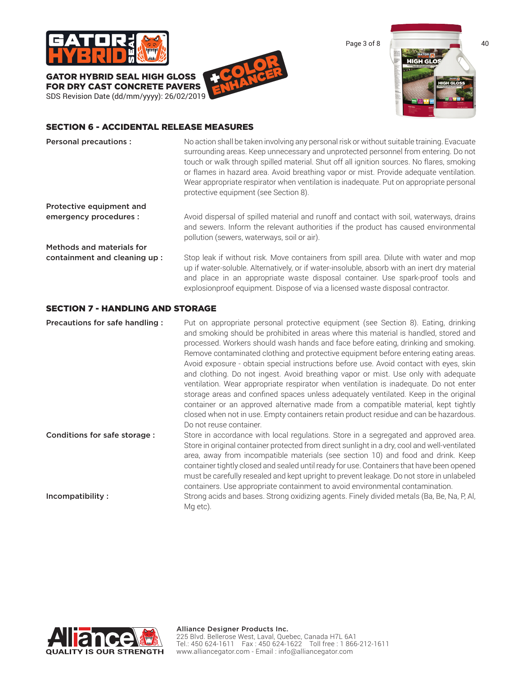

GATOR HYBRID SEAL HIGH GLOSS FOR DRY CAST CONCRETE PAVERS SDS Revision Date (dd/mm/yyyy): 26/02/2019 +COLOR ENHANCER



## SECTION 6 - ACCIDENTAL RELEASE MEASURES

| <b>Personal precautions:</b>            | No action shall be taken involving any personal risk or without suitable training. Evacuate<br>surrounding areas. Keep unnecessary and unprotected personnel from entering. Do not<br>touch or walk through spilled material. Shut off all ignition sources. No flares, smoking<br>or flames in hazard area. Avoid breathing vapor or mist. Provide adequate ventilation.<br>Wear appropriate respirator when ventilation is inadequate. Put on appropriate personal<br>protective equipment (see Section 8). |
|-----------------------------------------|---------------------------------------------------------------------------------------------------------------------------------------------------------------------------------------------------------------------------------------------------------------------------------------------------------------------------------------------------------------------------------------------------------------------------------------------------------------------------------------------------------------|
| Protective equipment and                |                                                                                                                                                                                                                                                                                                                                                                                                                                                                                                               |
| emergency procedures :                  | Avoid dispersal of spilled material and runoff and contact with soil, waterways, drains<br>and sewers. Inform the relevant authorities if the product has caused environmental<br>pollution (sewers, waterways, soil or air).                                                                                                                                                                                                                                                                                 |
| <b>Methods and materials for</b>        |                                                                                                                                                                                                                                                                                                                                                                                                                                                                                                               |
| containment and cleaning up:            | Stop leak if without risk. Move containers from spill area. Dilute with water and mop<br>up if water-soluble. Alternatively, or if water-insoluble, absorb with an inert dry material<br>and place in an appropriate waste disposal container. Use spark-proof tools and<br>explosionproof equipment. Dispose of via a licensed waste disposal contractor.                                                                                                                                                    |
| <b>SECTION 7 - HANDLING AND STORAGE</b> |                                                                                                                                                                                                                                                                                                                                                                                                                                                                                                               |
| Precautions for safe handling :         | Put on appropriate personal protective equipment (see Section 8). Eating, drinking<br>and smoking should be prohibited in areas where this material is handled, stored and                                                                                                                                                                                                                                                                                                                                    |

processed. Workers should wash hands and face before eating, drinking and smoking. Remove contaminated clothing and protective equipment before entering eating areas. Avoid exposure - obtain special instructions before use. Avoid contact with eyes, skin and clothing. Do not ingest. Avoid breathing vapor or mist. Use only with adequate ventilation. Wear appropriate respirator when ventilation is inadequate. Do not enter storage areas and confined spaces unless adequately ventilated. Keep in the original container or an approved alternative made from a compatible material, kept tightly closed when not in use. Empty containers retain product residue and can be hazardous. Do not reuse container.

Conditions for safe storage : Store in accordance with local regulations. Store in a segregated and approved area. Store in original container protected from direct sunlight in a dry, cool and well-ventilated area, away from incompatible materials (see section 10) and food and drink. Keep container tightly closed and sealed until ready for use. Containers that have been opened must be carefully resealed and kept upright to prevent leakage. Do not store in unlabeled containers. Use appropriate containment to avoid environmental contamination.

Incompatibility : Strong acids and bases. Strong oxidizing agents. Finely divided metals (Ba, Be, Na, P, Al, Mg etc).

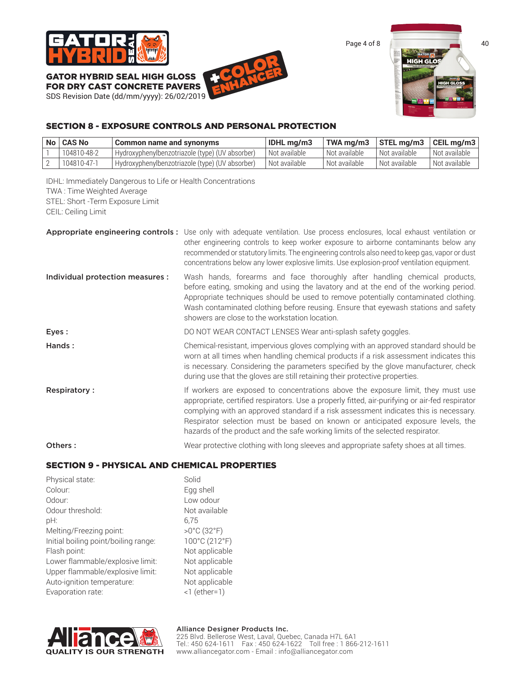

FOR DRY CAST CONCRETE PAVERS SDS Revision Date (dd/mm/yyyy): 26/02/2019 +COLOR ENHANCER



# SECTION 8 - EXPOSURE CONTROLS AND PERSONAL PROTECTION

| No   CAS No | Common name and synonyms                        | <b>IDHL</b> ma/m3 | TWA ma/m3                  | $\vert$ STEL mg/m3 $\vert$ CEIL mg/m3 $\vert$ |                            |
|-------------|-------------------------------------------------|-------------------|----------------------------|-----------------------------------------------|----------------------------|
| 104810-48-2 | Hydroxyphenylbenzotriazole (type) (UV absorber) | Not available     | <sup>1</sup> Not available | Not available                                 | l Not available            |
| 104810-47-1 | Hydroxyphenylbenzotriazole (type) (UV absorber) | Not available     | `Not available             | 'Not available                                | <sup>I</sup> Not available |

IDHL: Immediately Dangerous to Life or Health Concentrations TWA : Time Weighted Average STEL: Short -Term Exposure Limit

CEIL: Ceiling Limit

|                                  | Appropriate engineering controls: Use only with adequate ventilation. Use process enclosures, local exhaust ventilation or<br>other engineering controls to keep worker exposure to airborne contaminants below any<br>recommended or statutory limits. The engineering controls also need to keep gas, vapor or dust<br>concentrations below any lower explosive limits. Use explosion-proof ventilation equipment.                             |
|----------------------------------|--------------------------------------------------------------------------------------------------------------------------------------------------------------------------------------------------------------------------------------------------------------------------------------------------------------------------------------------------------------------------------------------------------------------------------------------------|
| Individual protection measures : | Wash hands, forearms and face thoroughly after handling chemical products,<br>before eating, smoking and using the lavatory and at the end of the working period.<br>Appropriate techniques should be used to remove potentially contaminated clothing.<br>Wash contaminated clothing before reusing. Ensure that eyewash stations and safety<br>showers are close to the workstation location.                                                  |
| Eyes:                            | DO NOT WEAR CONTACT LENSES Wear anti-splash safety goggles.                                                                                                                                                                                                                                                                                                                                                                                      |
| Hands:                           | Chemical-resistant, impervious gloves complying with an approved standard should be<br>worn at all times when handling chemical products if a risk assessment indicates this<br>is necessary. Considering the parameters specified by the glove manufacturer, check<br>during use that the gloves are still retaining their protective properties.                                                                                               |
| <b>Respiratory:</b>              | If workers are exposed to concentrations above the exposure limit, they must use<br>appropriate, certified respirators. Use a properly fitted, air-purifying or air-fed respirator<br>complying with an approved standard if a risk assessment indicates this is necessary.<br>Respirator selection must be based on known or anticipated exposure levels, the<br>hazards of the product and the safe working limits of the selected respirator. |
| Others:                          | Wear protective clothing with long sleeves and appropriate safety shoes at all times.                                                                                                                                                                                                                                                                                                                                                            |

## SECTION 9 - PHYSICAL AND CHEMICAL PROPERTIES

Solid Egg shell Low odour Not available

>0°C (32°F) 100°C (212°F) Not applicable Not applicable Not applicable Not applicable  $\leq 1$  (ether=1)

| Physical state:                      | Solio          |
|--------------------------------------|----------------|
| Colour:                              | Egg            |
| Odour:                               | Low            |
| Odour threshold:                     | Not            |
| pH:                                  | 6.75           |
| Melting/Freezing point:              | $>0^{\circ}$ ( |
| Initial boiling point/boiling range: | 100            |
| Flash point:                         | Not            |
| Lower flammable/explosive limit:     | Not            |
| Upper flammable/explosive limit:     | Not            |
| Auto-ignition temperature:           | Not            |
| Evaporation rate:                    | 16             |
|                                      |                |

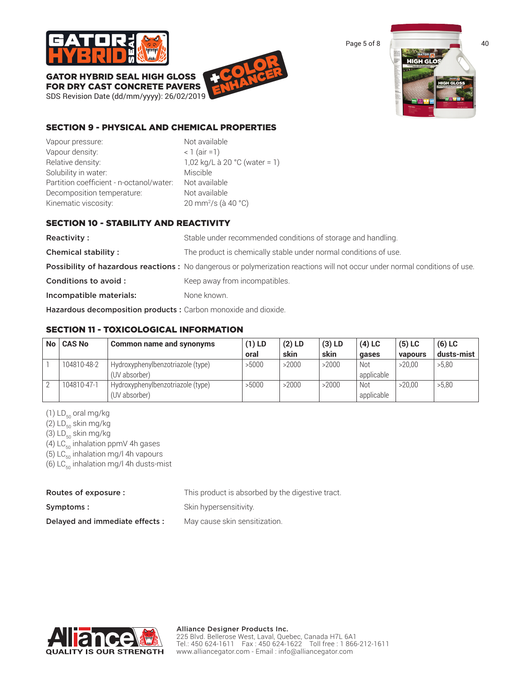

GATOR HYBRID SEAL HIGH GLOSS FOR DRY CAST CONCRETE PAVERS

SDS Revision Date (dd/mm/yyyy): 26/02/2019 +COLOR ENHANCER



# SECTION 9 - PHYSICAL AND CHEMICAL PROPERTIES

Vapour pressure: Not available Vapour density:  $\langle 1 \rangle$  (air =1) Relative density:  $1,02 \text{ kg/L}$  à 20 °C (water = 1) Solubility in water: Miscible Partition coefficient - n-octanol/water: Not available Decomposition temperature: Not available Kinematic viscosity:

20 mm<sup>2</sup>/s (à 40 °C)

# SECTION 10 - STABILITY AND REACTIVITY

Reactivity : Stable under recommended conditions of storage and handling. **Chemical stability :** The product is chemically stable under normal conditions of use. Possibility of hazardous reactions : No dangerous or polymerization reactions will not occur under normal conditions of use. **Conditions to avoid :** Keep away from incompatibles. Incompatible materials: None known.

Hazardous decomposition products : Carbon monoxide and dioxide.

# SECTION 11 - TOXICOLOGICAL INFORMATION

| <b>No</b> | <b>CAS No</b> | Common name and synonyms                           | $(1)$ LD | $(2)$ LD | $(3)$ LD | $(4)$ LC          | $(5)$ LC | $(6)$ LC   |
|-----------|---------------|----------------------------------------------------|----------|----------|----------|-------------------|----------|------------|
|           |               |                                                    | oral     | skin     | skin     | qases             | vapours  | dusts-mist |
|           | 104810-48-2   | Hydroxyphenylbenzotriazole (type)<br>(UV absorber) | >5000    | >2000    | >2000    | Not<br>applicable | >20.00   | >5,80      |
|           | 104810-47-1   | Hydroxyphenylbenzotriazole (type)<br>(UV absorber) | >5000    | >2000    | >2000    | Not<br>applicable | >20.00   | >5.80      |

(1)  $LD_{50}$  oral mg/kg

(2)  $LD_{50}$  skin mg/kg

(3)  $LD_{50}$  skin mg/kg

(4) LC $_{50}$  inhalation ppmV 4h gases

(5)  $LC_{50}$  inhalation mg/l 4h vapours

(6)  $LC_{50}$  inhalation mg/l 4h dusts-mist

| Routes of exposure :           | This product is absorbed by the digestive tract. |
|--------------------------------|--------------------------------------------------|
| Symptoms :                     | Skin hypersensitivity.                           |
| Delayed and immediate effects: | May cause skin sensitization.                    |

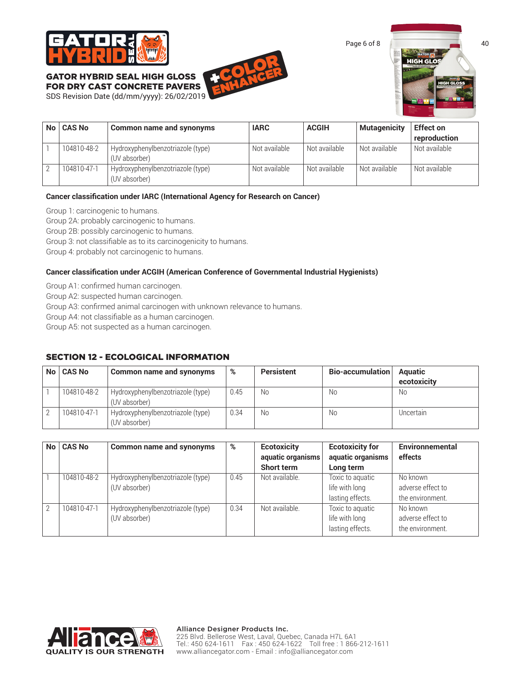





| No   CAS No | Common name and synonyms                           | <b>IARC</b>   | <b>ACGIH</b>  | <b>Mutagenicity</b> | <b>Effect on</b> |
|-------------|----------------------------------------------------|---------------|---------------|---------------------|------------------|
|             |                                                    |               |               |                     | reproduction     |
| 104810-48-2 | Hydroxyphenylbenzotriazole (type)<br>(UV absorber) | Not available | Not available | Not available       | Not available    |
| 104810-47-1 | Hydroxyphenylbenzotriazole (type)<br>(UV absorber) | Not available | Not available | Not available       | Not available    |

#### **Cancer classification under IARC (International Agency for Research on Cancer)**

Group 1: carcinogenic to humans.

Group 2A: probably carcinogenic to humans.

Group 2B: possibly carcinogenic to humans.

Group 3: not classifiable as to its carcinogenicity to humans.

Group 4: probably not carcinogenic to humans.

#### **Cancer classification under ACGIH (American Conference of Governmental Industrial Hygienists)**

Group A1: confirmed human carcinogen.

Group A2: suspected human carcinogen.

Group A3: confirmed animal carcinogen with unknown relevance to humans.

Group A4: not classifiable as a human carcinogen.

Group A5: not suspected as a human carcinogen.

## SECTION 12 - ECOLOGICAL INFORMATION

| No   CAS No | <b>Common name and synonyms</b>                    | %    | <b>Persistent</b> | Bio-accumulation | <b>Aquatic</b><br>ecotoxicity |
|-------------|----------------------------------------------------|------|-------------------|------------------|-------------------------------|
| 104810-48-2 | Hydroxyphenylbenzotriazole (type)<br>(UV absorber) | 0.45 | No                | No.              | No                            |
| 104810-47-1 | Hydroxyphenylbenzotriazole (type)<br>(UV absorber) | 0.34 | No                | No.              | Uncertain                     |

| No <sub>1</sub> | <b>CAS No</b> | <b>Common name and synonyms</b>                    | %    | <b>Ecotoxicity</b><br>aquatic organisms | <b>Ecotoxicity for</b><br>aquatic organisms            | <b>Environnemental</b><br>effects                 |
|-----------------|---------------|----------------------------------------------------|------|-----------------------------------------|--------------------------------------------------------|---------------------------------------------------|
|                 |               |                                                    |      | <b>Short term</b>                       | Long term                                              |                                                   |
|                 | 104810-48-2   | Hydroxyphenylbenzotriazole (type)<br>(UV absorber) | 0.45 | Not available.                          | Toxic to aquatic<br>life with long<br>lasting effects. | No known<br>adverse effect to<br>the environment. |
| 2               | 104810-47-1   | Hydroxyphenylbenzotriazole (type)<br>(UV absorber) | 0.34 | Not available.                          | Toxic to aquatic<br>life with long<br>lasting effects. | No known<br>adverse effect to<br>the environment. |

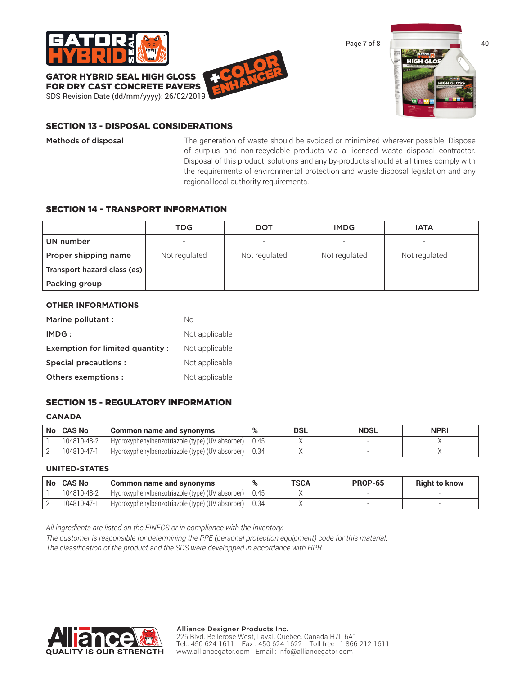





## SECTION 13 - DISPOSAL CONSIDERATIONS

Methods of disposal The generation of waste should be avoided or minimized wherever possible. Dispose of surplus and non-recyclable products via a licensed waste disposal contractor. Disposal of this product, solutions and any by-products should at all times comply with the requirements of environmental protection and waste disposal legislation and any regional local authority requirements.

#### SECTION 14 - TRANSPORT INFORMATION

|                             | TDG           | <b>DOT</b>    | <b>IMDG</b>              | <b>IATA</b>              |  |
|-----------------------------|---------------|---------------|--------------------------|--------------------------|--|
| UN number                   |               |               |                          |                          |  |
| Proper shipping name        | Not regulated | Not regulated | Not regulated            | Not regulated            |  |
| Transport hazard class (es) |               | -             | $\overline{\phantom{a}}$ | -                        |  |
| Packing group               |               |               | $\overline{\phantom{a}}$ | $\overline{\phantom{0}}$ |  |

#### **OTHER INFORMATIONS**

| Marine pollutant :              | Nο             |
|---------------------------------|----------------|
| IMDG:                           | Not applicable |
| Exemption for limited quantity: | Not applicable |
| Special precautions :           | Not applicable |
| Others exemptions :             | Not applicable |

## SECTION 15 - REGULATORY INFORMATION

#### **CANADA**

| No   CAS No | Common name and synonyms                              | $\mathbf{O}/$ | DSL | <b>NDSL</b> | <b>NPRI</b> |
|-------------|-------------------------------------------------------|---------------|-----|-------------|-------------|
| 104810-48-2 | I Hydroxyphenylbenzotriazole (type) (UV absorber)   . |               |     |             |             |
| 104810-47-1 | I Hydroxyphenylbenzotriazole (type) (UV absorber)   . | 0.34          |     |             |             |

## **UNITED-STATES**

| <b>No</b> | <b>CAS No</b> | Common name and synonyms                        | %    | TSCA | <b>PROP-65</b> | <b>Right to know</b> |
|-----------|---------------|-------------------------------------------------|------|------|----------------|----------------------|
|           | 104810-48-2   | Hydroxyphenylbenzotriazole (type) (UV absorber) | 0.45 |      |                |                      |
|           | 104810-47-1   | Hydroxyphenylbenzotriazole (type) (UV absorber) |      |      |                |                      |

*All ingredients are listed on the EINECS or in compliance with the inventory.*

*The customer is responsible for determining the PPE (personal protection equipment) code for this material. The classification of the product and the SDS were developped in accordance with HPR.*